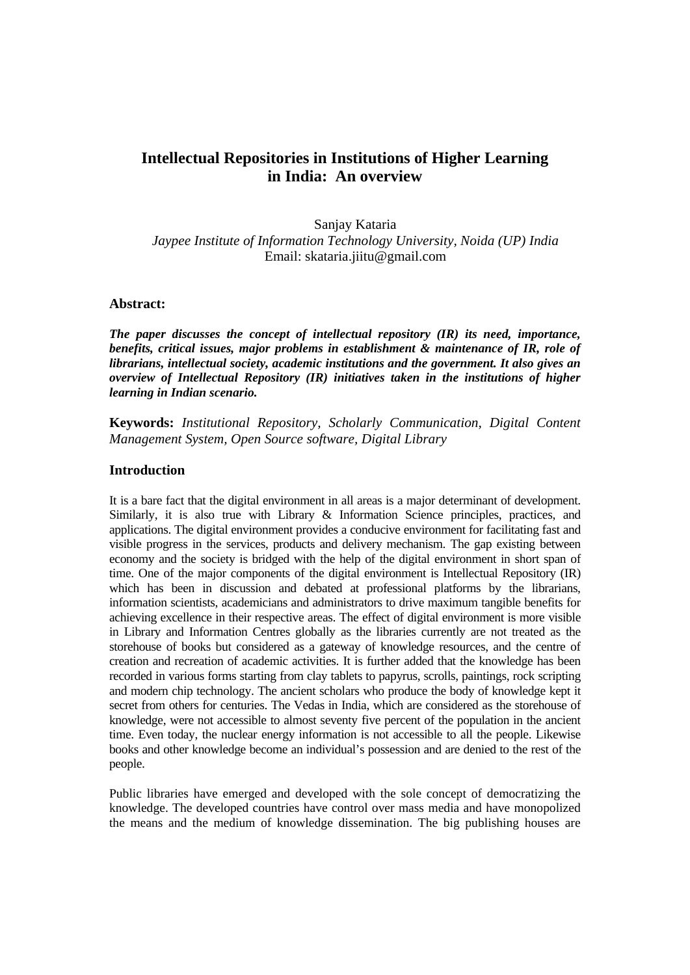# **Intellectual Repositories in Institutions of Higher Learning in India: An overview**

Sanjay Kataria *Jaypee Institute of Information Technology University, Noida (UP) India*  Email: skataria.jiitu@gmail.com

#### **Abstract:**

*The paper discusses the concept of intellectual repository (IR) its need, importance, benefits, critical issues, major problems in establishment & maintenance of IR, role of librarians, intellectual society, academic institutions and the government. It also gives an overview of Intellectual Repository (IR) initiatives taken in the institutions of higher learning in Indian scenario.* 

**Keywords:** *Institutional Repository, Scholarly Communication, Digital Content Management System, Open Source software, Digital Library* 

#### **Introduction**

It is a bare fact that the digital environment in all areas is a major determinant of development. Similarly, it is also true with Library & Information Science principles, practices, and applications. The digital environment provides a conducive environment for facilitating fast and visible progress in the services, products and delivery mechanism. The gap existing between economy and the society is bridged with the help of the digital environment in short span of time. One of the major components of the digital environment is Intellectual Repository (IR) which has been in discussion and debated at professional platforms by the librarians, information scientists, academicians and administrators to drive maximum tangible benefits for achieving excellence in their respective areas. The effect of digital environment is more visible in Library and Information Centres globally as the libraries currently are not treated as the storehouse of books but considered as a gateway of knowledge resources, and the centre of creation and recreation of academic activities. It is further added that the knowledge has been recorded in various forms starting from clay tablets to papyrus, scrolls, paintings, rock scripting and modern chip technology. The ancient scholars who produce the body of knowledge kept it secret from others for centuries. The Vedas in India, which are considered as the storehouse of knowledge, were not accessible to almost seventy five percent of the population in the ancient time. Even today, the nuclear energy information is not accessible to all the people. Likewise books and other knowledge become an individual's possession and are denied to the rest of the people.

Public libraries have emerged and developed with the sole concept of democratizing the knowledge. The developed countries have control over mass media and have monopolized the means and the medium of knowledge dissemination. The big publishing houses are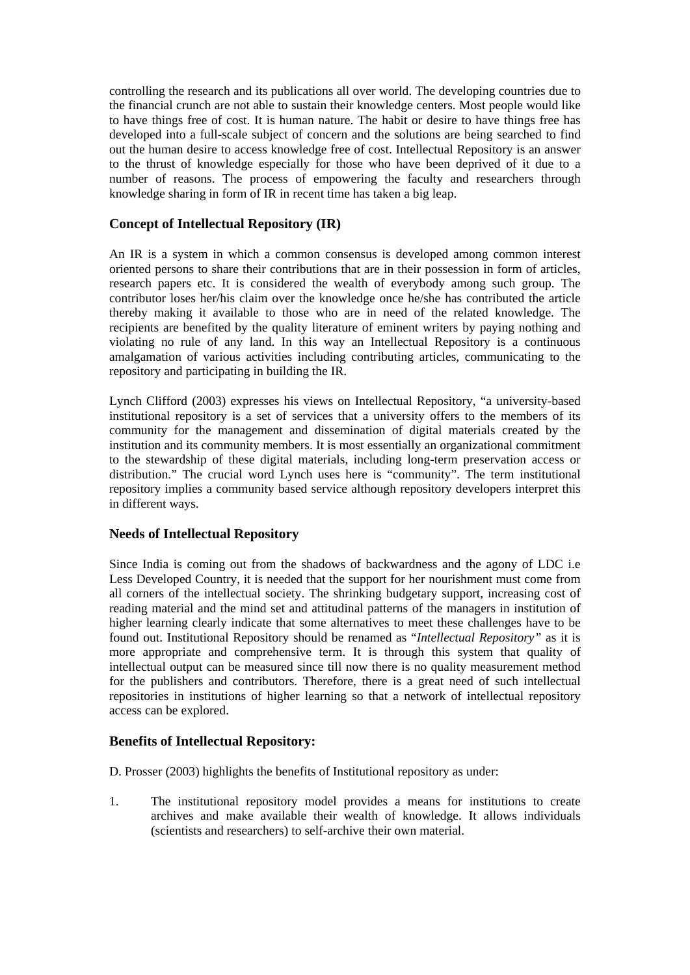controlling the research and its publications all over world. The developing countries due to the financial crunch are not able to sustain their knowledge centers. Most people would like to have things free of cost. It is human nature. The habit or desire to have things free has developed into a full-scale subject of concern and the solutions are being searched to find out the human desire to access knowledge free of cost. Intellectual Repository is an answer to the thrust of knowledge especially for those who have been deprived of it due to a number of reasons. The process of empowering the faculty and researchers through knowledge sharing in form of IR in recent time has taken a big leap.

### **Concept of Intellectual Repository (IR)**

An IR is a system in which a common consensus is developed among common interest oriented persons to share their contributions that are in their possession in form of articles, research papers etc. It is considered the wealth of everybody among such group. The contributor loses her/his claim over the knowledge once he/she has contributed the article thereby making it available to those who are in need of the related knowledge. The recipients are benefited by the quality literature of eminent writers by paying nothing and violating no rule of any land. In this way an Intellectual Repository is a continuous amalgamation of various activities including contributing articles, communicating to the repository and participating in building the IR.

Lynch Clifford (2003) expresses his views on Intellectual Repository, "a university-based institutional repository is a set of services that a university offers to the members of its community for the management and dissemination of digital materials created by the institution and its community members. It is most essentially an organizational commitment to the stewardship of these digital materials, including long-term preservation access or distribution." The crucial word Lynch uses here is "community". The term institutional repository implies a community based service although repository developers interpret this in different ways.

#### **Needs of Intellectual Repository**

Since India is coming out from the shadows of backwardness and the agony of LDC i.e Less Developed Country, it is needed that the support for her nourishment must come from all corners of the intellectual society. The shrinking budgetary support, increasing cost of reading material and the mind set and attitudinal patterns of the managers in institution of higher learning clearly indicate that some alternatives to meet these challenges have to be found out. Institutional Repository should be renamed as "*Intellectual Repository"* as it is more appropriate and comprehensive term. It is through this system that quality of intellectual output can be measured since till now there is no quality measurement method for the publishers and contributors. Therefore, there is a great need of such intellectual repositories in institutions of higher learning so that a network of intellectual repository access can be explored.

## **Benefits of Intellectual Repository:**

D. Prosser (2003) highlights the benefits of Institutional repository as under:

1. The institutional repository model provides a means for institutions to create archives and make available their wealth of knowledge. It allows individuals (scientists and researchers) to self-archive their own material.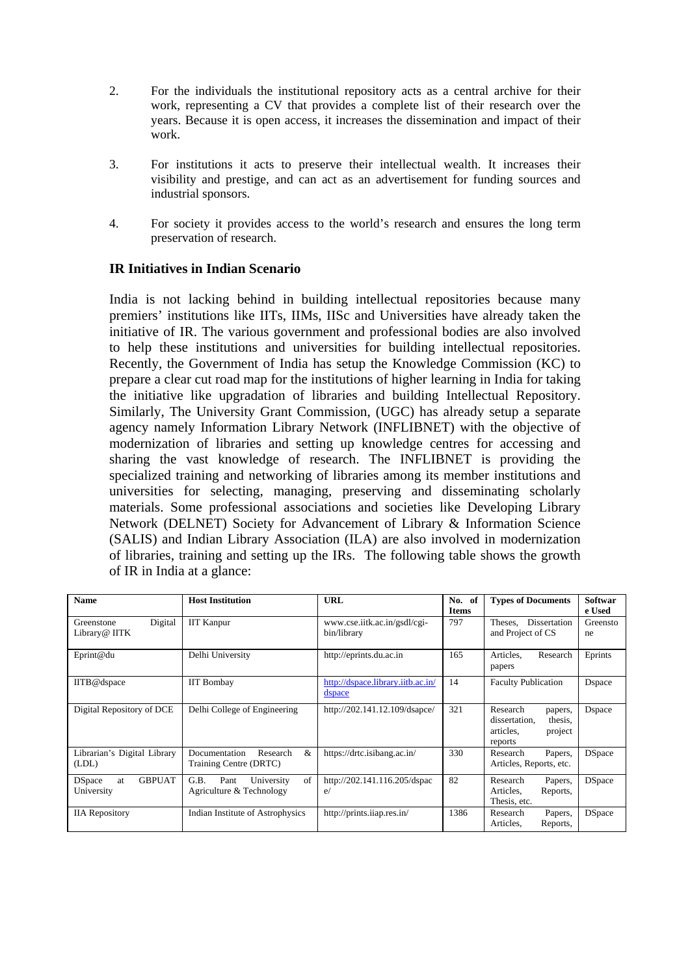- 2. For the individuals the institutional repository acts as a central archive for their work, representing a CV that provides a complete list of their research over the years. Because it is open access, it increases the dissemination and impact of their work.
- 3. For institutions it acts to preserve their intellectual wealth. It increases their visibility and prestige, and can act as an advertisement for funding sources and industrial sponsors.
- 4. For society it provides access to the world's research and ensures the long term preservation of research.

## **IR Initiatives in Indian Scenario**

India is not lacking behind in building intellectual repositories because many premiers' institutions like IITs, IIMs, IISc and Universities have already taken the initiative of IR. The various government and professional bodies are also involved to help these institutions and universities for building intellectual repositories. Recently, the Government of India has setup the Knowledge Commission (KC) to prepare a clear cut road map for the institutions of higher learning in India for taking the initiative like upgradation of libraries and building Intellectual Repository. Similarly, The University Grant Commission, (UGC) has already setup a separate agency namely Information Library Network (INFLIBNET) with the objective of modernization of libraries and setting up knowledge centres for accessing and sharing the vast knowledge of research. The INFLIBNET is providing the specialized training and networking of libraries among its member institutions and universities for selecting, managing, preserving and disseminating scholarly materials. Some professional associations and societies like Developing Library Network (DELNET) Society for Advancement of Library & Information Science (SALIS) and Indian Library Association (ILA) are also involved in modernization of libraries, training and setting up the IRs. The following table shows the growth of IR in India at a glance:

| <b>Name</b>                                         | <b>Host Institution</b>                                      | URL                                         | No.<br>- of<br><b>Items</b> | <b>Types of Documents</b>                                                          | Softwar<br>e Used |
|-----------------------------------------------------|--------------------------------------------------------------|---------------------------------------------|-----------------------------|------------------------------------------------------------------------------------|-------------------|
| Digital<br>Greenstone<br>Library@ IITK              | <b>IIT Kanpur</b>                                            | www.cse.iitk.ac.in/gsdl/cgi-<br>bin/library | 797                         | Theses, Dissertation<br>and Project of CS                                          | Greensto<br>ne    |
| Eprint@du                                           | Delhi University                                             | http://eprints.du.ac.in                     | 165                         | Research<br>Articles.<br>papers                                                    | Eprints           |
| IITB@dspace                                         | <b>IIT Bombay</b>                                            | http://dspace.library.iitb.ac.in/<br>dspace | 14                          | <b>Faculty Publication</b>                                                         | <b>D</b> space    |
| Digital Repository of DCE                           | Delhi College of Engineering                                 | http://202.141.12.109/dsapce/               | 321                         | Research<br>papers,<br>dissertation,<br>thesis,<br>articles.<br>project<br>reports | Dspace            |
| Librarian's Digital Library<br>(LDL)                | &<br>Research<br>Documentation<br>Training Centre (DRTC)     | https://drtc.isibang.ac.in/                 | 330                         | Research<br>Papers,<br>Articles, Reports, etc.                                     | <b>DSpace</b>     |
| <b>D</b> Space<br><b>GBPUAT</b><br>at<br>University | of<br>G.B.<br>Pant<br>University<br>Agriculture & Technology | http://202.141.116.205/dspac<br>e/          | 82                          | Research<br>Papers,<br>Articles.<br>Reports,<br>Thesis, etc.                       | <b>DSpace</b>     |
| <b>IIA</b> Repository                               | Indian Institute of Astrophysics                             | http://prints.iiap.res.in/                  | 1386                        | Research<br>Papers,<br>Reports,<br>Articles.                                       | <b>DSpace</b>     |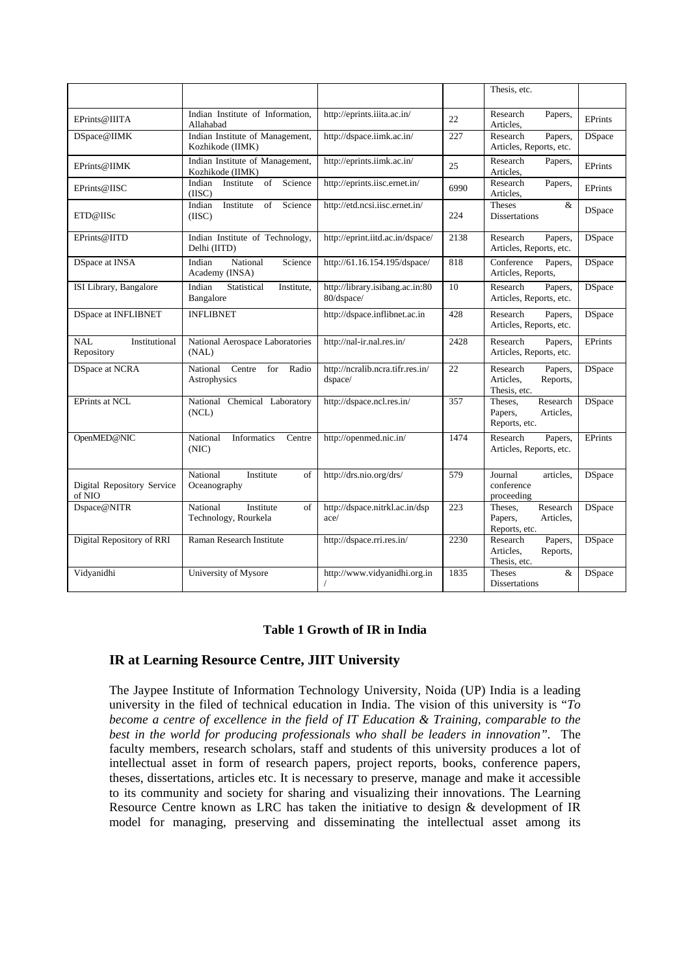|                                           |                                                     |                                               |      | Thesis, etc.                                                 |                |
|-------------------------------------------|-----------------------------------------------------|-----------------------------------------------|------|--------------------------------------------------------------|----------------|
| EPrints@IIITA                             | Indian Institute of Information,<br>Allahabad       | http://eprints.iiita.ac.in/                   | 22   | Research<br>Papers,<br>Articles.                             | EPrints        |
| DSpace@IIMK                               | Indian Institute of Management,<br>Kozhikode (IIMK) | http://dspace.iimk.ac.in/                     | 227  | Research<br>Papers,<br>Articles, Reports, etc.               | <b>DSpace</b>  |
| EPrints@IIMK                              | Indian Institute of Management,<br>Kozhikode (IIMK) | http://eprints.iimk.ac.in/                    | 25   | Research<br>Papers,<br>Articles,                             | <b>EPrints</b> |
| EPrints@IISC                              | Indian<br>Science<br>Institute<br>of<br>(IISC)      | http://eprints.iisc.ernet.in/                 | 6990 | Research<br>Papers,<br>Articles.                             | EPrints        |
| ETD@IISc                                  | Science<br>Indian<br>Institute<br>of<br>(IISC)      | http://etd.ncsi.iisc.ernet.in/                | 224  | <b>Theses</b><br>&<br><b>Dissertations</b>                   | <b>DSpace</b>  |
| EPrints@IITD                              | Indian Institute of Technology,<br>Delhi (IITD)     | http://eprint.iitd.ac.in/dspace/              | 2138 | Research<br>Papers,<br>Articles, Reports, etc.               | <b>DSpace</b>  |
| DSpace at INSA                            | Indian<br>National<br>Science<br>Academy (INSA)     | http://61.16.154.195/dspace/                  | 818  | Conference<br>Papers,<br>Articles, Reports,                  | <b>DSpace</b>  |
| ISI Library, Bangalore                    | Indian<br>Statistical<br>Institute.<br>Bangalore    | http://library.isibang.ac.in:80<br>80/dspace/ | 10   | Research<br>Papers,<br>Articles, Reports, etc.               | <b>DSpace</b>  |
| <b>DSpace at INFLIBNET</b>                | <b>INFLIBNET</b>                                    | http://dspace.inflibnet.ac.in                 | 428  | Research<br>Papers,<br>Articles, Reports, etc.               | <b>DSpace</b>  |
| <b>NAL</b><br>Institutional<br>Repository | National Aerospace Laboratories<br>(NAL)            | http://nal-ir.nal.res.in/                     | 2428 | Research<br>Papers,<br>Articles, Reports, etc.               | EPrints        |
| <b>DSpace at NCRA</b>                     | for<br>Radio<br>National<br>Centre<br>Astrophysics  | http://ncralib.ncra.tifr.res.in/<br>dspace/   | 22   | Research<br>Papers,<br>Articles,<br>Reports,<br>Thesis, etc. | <b>DSpace</b>  |
| <b>EPrints at NCL</b>                     | National Chemical Laboratory<br>(NCL)               | http://dspace.ncl.res.in/                     | 357  | Research<br>Theses.<br>Papers,<br>Articles.<br>Reports, etc. | <b>DSpace</b>  |
| OpenMED@NIC                               | Informatics<br>National<br>Centre<br>(NIC)          | http://openmed.nic.in/                        | 1474 | Research<br>Papers,<br>Articles, Reports, etc.               | EPrints        |
| Digital Repository Service<br>of NIO      | National<br>Institute<br>of<br>Oceanography         | http://drs.nio.org/drs/                       | 579  | Journal<br>articles.<br>conference<br>proceeding             | <b>DSpace</b>  |
| Dspace@NITR                               | National<br>Institute<br>of<br>Technology, Rourkela | http://dspace.nitrkl.ac.in/dsp<br>ace/        | 223  | Research<br>Theses,<br>Papers,<br>Articles.<br>Reports, etc. | <b>DSpace</b>  |
| Digital Repository of RRI                 | Raman Research Institute                            | http://dspace.rri.res.in/                     | 2230 | Research<br>Papers,<br>Articles,<br>Reports,<br>Thesis, etc. | <b>DSpace</b>  |
| Vidyanidhi                                | University of Mysore                                | http://www.vidyanidhi.org.in<br>$\sqrt{2}$    | 1835 | <b>Theses</b><br>&<br>Dissertations                          | <b>DSpace</b>  |

#### **Table 1 Growth of IR in India**

## **IR at Learning Resource Centre, JIIT University**

The Jaypee Institute of Information Technology University, Noida (UP) India is a leading university in the filed of technical education in India. The vision of this university is "*To become a centre of excellence in the field of IT Education & Training, comparable to the best in the world for producing professionals who shall be leaders in innovation".* The faculty members, research scholars, staff and students of this university produces a lot of intellectual asset in form of research papers, project reports, books, conference papers, theses, dissertations, articles etc. It is necessary to preserve, manage and make it accessible to its community and society for sharing and visualizing their innovations. The Learning Resource Centre known as LRC has taken the initiative to design & development of IR model for managing, preserving and disseminating the intellectual asset among its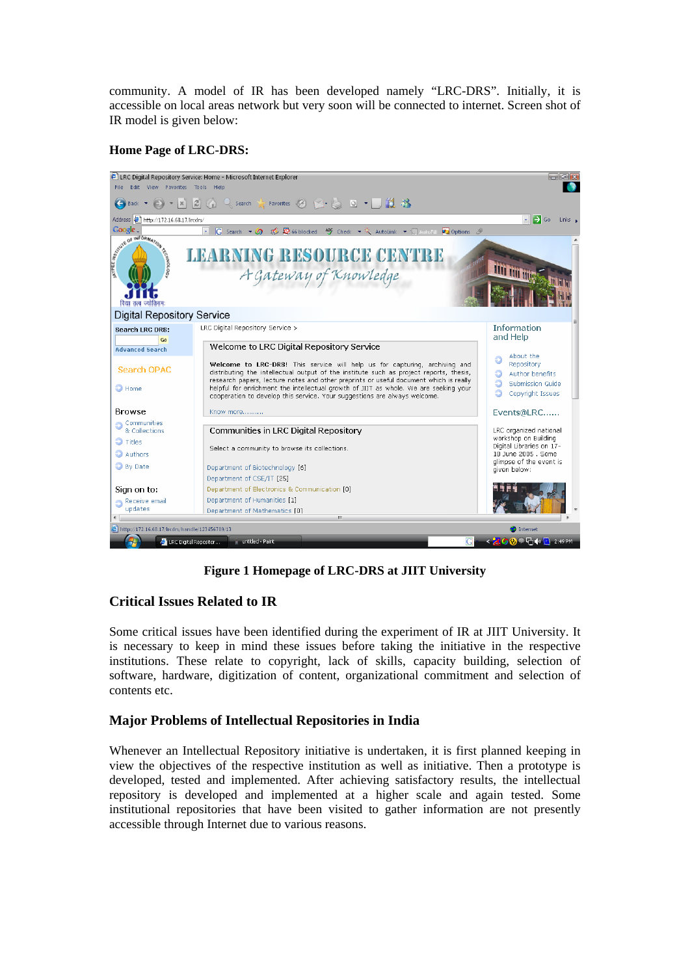community. A model of IR has been developed namely "LRC-DRS". Initially, it is accessible on local areas network but very soon will be connected to internet. Screen shot of IR model is given below:

### **Home Page of LRC-DRS:**



**Figure 1 Homepage of LRC-DRS at JIIT University** 

## **Critical Issues Related to IR**

Some critical issues have been identified during the experiment of IR at JIIT University. It is necessary to keep in mind these issues before taking the initiative in the respective institutions. These relate to copyright, lack of skills, capacity building, selection of software, hardware, digitization of content, organizational commitment and selection of contents etc.

## **Major Problems of Intellectual Repositories in India**

Whenever an Intellectual Repository initiative is undertaken, it is first planned keeping in view the objectives of the respective institution as well as initiative. Then a prototype is developed, tested and implemented. After achieving satisfactory results, the intellectual repository is developed and implemented at a higher scale and again tested. Some institutional repositories that have been visited to gather information are not presently accessible through Internet due to various reasons.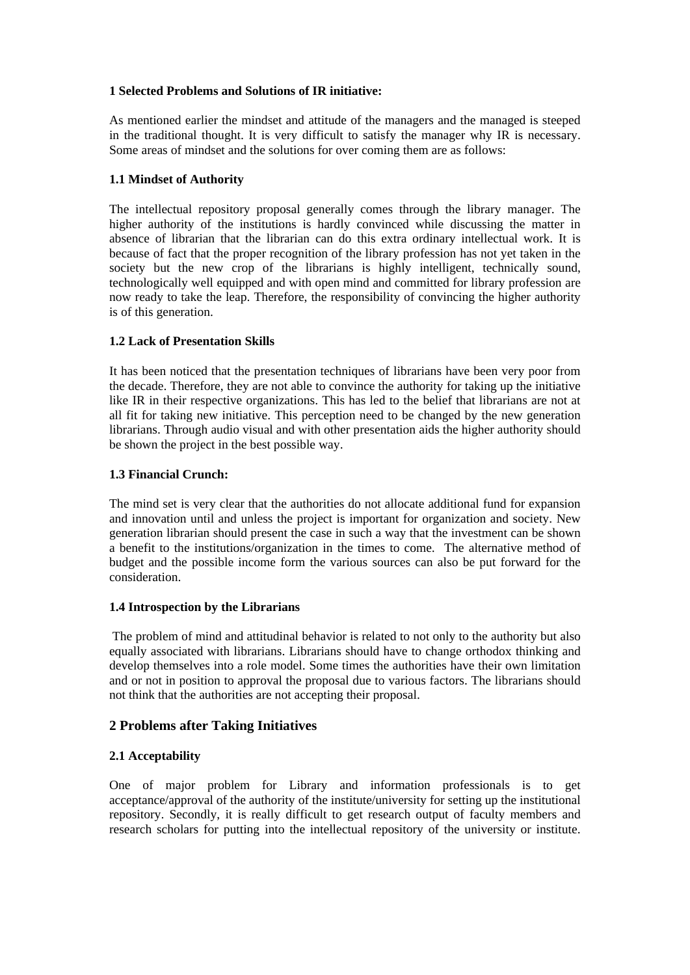### **1 Selected Problems and Solutions of IR initiative:**

As mentioned earlier the mindset and attitude of the managers and the managed is steeped in the traditional thought. It is very difficult to satisfy the manager why IR is necessary. Some areas of mindset and the solutions for over coming them are as follows:

### **1.1 Mindset of Authority**

The intellectual repository proposal generally comes through the library manager. The higher authority of the institutions is hardly convinced while discussing the matter in absence of librarian that the librarian can do this extra ordinary intellectual work. It is because of fact that the proper recognition of the library profession has not yet taken in the society but the new crop of the librarians is highly intelligent, technically sound, technologically well equipped and with open mind and committed for library profession are now ready to take the leap. Therefore, the responsibility of convincing the higher authority is of this generation.

### **1.2 Lack of Presentation Skills**

It has been noticed that the presentation techniques of librarians have been very poor from the decade. Therefore, they are not able to convince the authority for taking up the initiative like IR in their respective organizations. This has led to the belief that librarians are not at all fit for taking new initiative. This perception need to be changed by the new generation librarians. Through audio visual and with other presentation aids the higher authority should be shown the project in the best possible way.

### **1.3 Financial Crunch:**

The mind set is very clear that the authorities do not allocate additional fund for expansion and innovation until and unless the project is important for organization and society. New generation librarian should present the case in such a way that the investment can be shown a benefit to the institutions/organization in the times to come. The alternative method of budget and the possible income form the various sources can also be put forward for the consideration.

#### **1.4 Introspection by the Librarians**

 The problem of mind and attitudinal behavior is related to not only to the authority but also equally associated with librarians. Librarians should have to change orthodox thinking and develop themselves into a role model. Some times the authorities have their own limitation and or not in position to approval the proposal due to various factors. The librarians should not think that the authorities are not accepting their proposal.

## **2 Problems after Taking Initiatives**

## **2.1 Acceptability**

One of major problem for Library and information professionals is to get acceptance/approval of the authority of the institute/university for setting up the institutional repository. Secondly, it is really difficult to get research output of faculty members and research scholars for putting into the intellectual repository of the university or institute.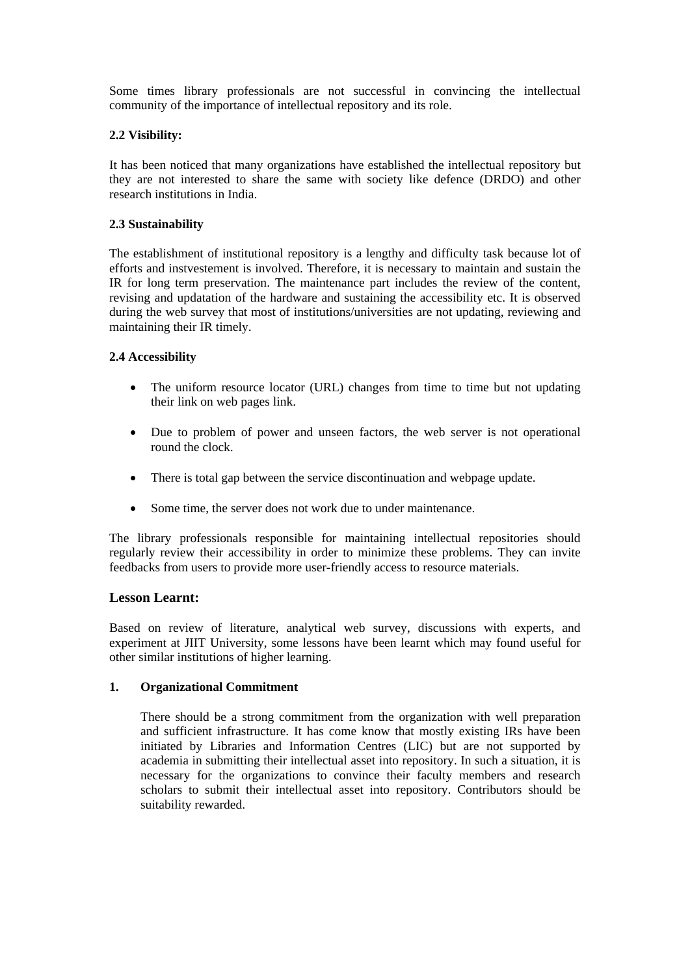Some times library professionals are not successful in convincing the intellectual community of the importance of intellectual repository and its role.

### **2.2 Visibility:**

It has been noticed that many organizations have established the intellectual repository but they are not interested to share the same with society like defence (DRDO) and other research institutions in India.

### **2.3 Sustainability**

The establishment of institutional repository is a lengthy and difficulty task because lot of efforts and instvestement is involved. Therefore, it is necessary to maintain and sustain the IR for long term preservation. The maintenance part includes the review of the content, revising and updatation of the hardware and sustaining the accessibility etc. It is observed during the web survey that most of institutions/universities are not updating, reviewing and maintaining their IR timely.

### **2.4 Accessibility**

- The uniform resource locator (URL) changes from time to time but not updating their link on web pages link.
- Due to problem of power and unseen factors, the web server is not operational round the clock.
- There is total gap between the service discontinuation and webpage update.
- Some time, the server does not work due to under maintenance.

The library professionals responsible for maintaining intellectual repositories should regularly review their accessibility in order to minimize these problems. They can invite feedbacks from users to provide more user-friendly access to resource materials.

## **Lesson Learnt:**

Based on review of literature, analytical web survey, discussions with experts, and experiment at JIIT University, some lessons have been learnt which may found useful for other similar institutions of higher learning.

#### **1. Organizational Commitment**

There should be a strong commitment from the organization with well preparation and sufficient infrastructure. It has come know that mostly existing IRs have been initiated by Libraries and Information Centres (LIC) but are not supported by academia in submitting their intellectual asset into repository. In such a situation, it is necessary for the organizations to convince their faculty members and research scholars to submit their intellectual asset into repository. Contributors should be suitability rewarded.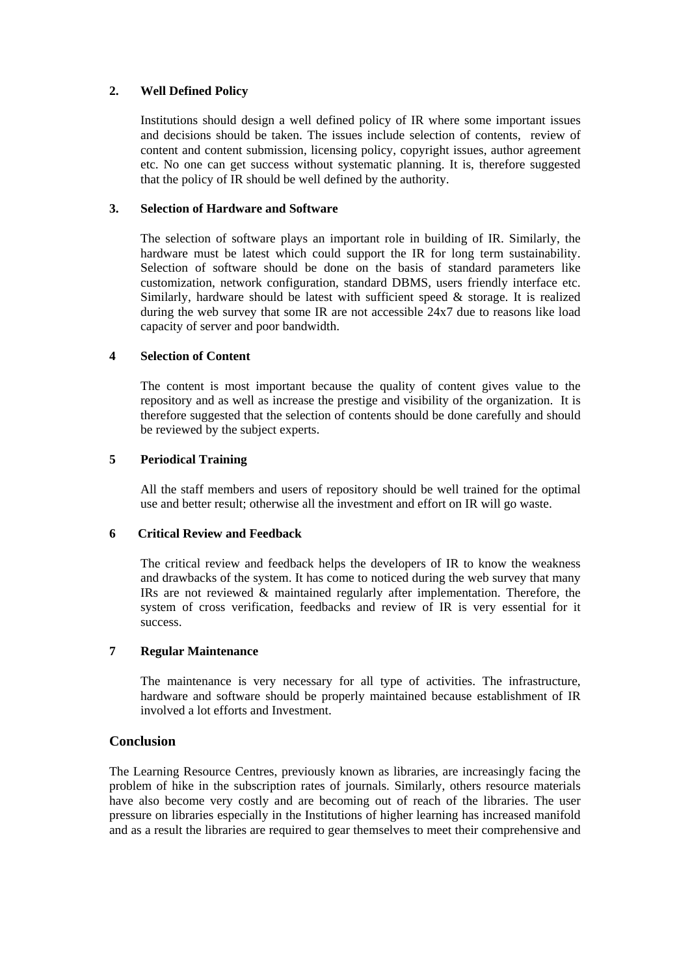#### **2. Well Defined Policy**

Institutions should design a well defined policy of IR where some important issues and decisions should be taken. The issues include selection of contents, review of content and content submission, licensing policy, copyright issues, author agreement etc. No one can get success without systematic planning. It is, therefore suggested that the policy of IR should be well defined by the authority.

#### **3. Selection of Hardware and Software**

The selection of software plays an important role in building of IR. Similarly, the hardware must be latest which could support the IR for long term sustainability. Selection of software should be done on the basis of standard parameters like customization, network configuration, standard DBMS, users friendly interface etc. Similarly, hardware should be latest with sufficient speed  $\&$  storage. It is realized during the web survey that some IR are not accessible 24x7 due to reasons like load capacity of server and poor bandwidth.

### **4 Selection of Content**

The content is most important because the quality of content gives value to the repository and as well as increase the prestige and visibility of the organization. It is therefore suggested that the selection of contents should be done carefully and should be reviewed by the subject experts.

### **5 Periodical Training**

All the staff members and users of repository should be well trained for the optimal use and better result; otherwise all the investment and effort on IR will go waste.

#### **6 Critical Review and Feedback**

The critical review and feedback helps the developers of IR to know the weakness and drawbacks of the system. It has come to noticed during the web survey that many IRs are not reviewed & maintained regularly after implementation. Therefore, the system of cross verification, feedbacks and review of IR is very essential for it success.

#### **7 Regular Maintenance**

The maintenance is very necessary for all type of activities. The infrastructure, hardware and software should be properly maintained because establishment of IR involved a lot efforts and Investment.

## **Conclusion**

The Learning Resource Centres, previously known as libraries, are increasingly facing the problem of hike in the subscription rates of journals. Similarly, others resource materials have also become very costly and are becoming out of reach of the libraries. The user pressure on libraries especially in the Institutions of higher learning has increased manifold and as a result the libraries are required to gear themselves to meet their comprehensive and